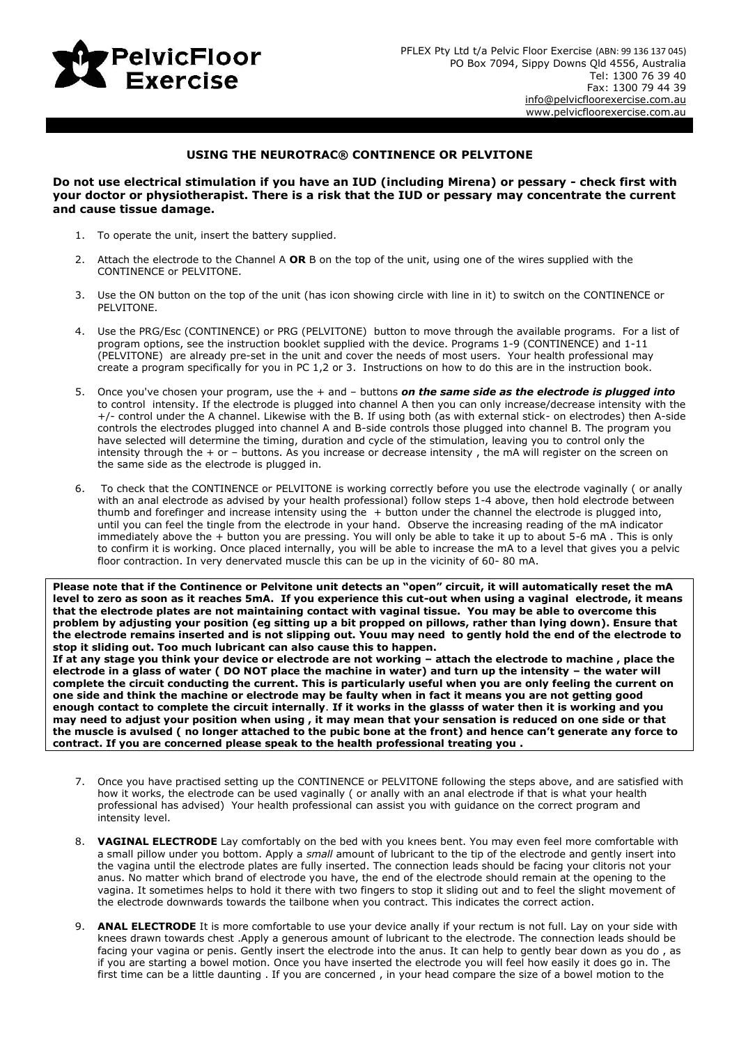

## **USING THE NEUROTRAC® CONTINENCE OR PELVITONE**

**Do not use electrical stimulation if you have an IUD (including Mirena) or pessary - check first with your doctor or physiotherapist. There is a risk that the IUD or pessary may concentrate the current and cause tissue damage.**

- 1. To operate the unit, insert the battery supplied.
- 2. Attach the electrode to the Channel A **OR** B on the top of the unit, using one of the wires supplied with the CONTINENCE or PELVITONE.
- 3. Use the ON button on the top of the unit (has icon showing circle with line in it) to switch on the CONTINENCE or PELVITONE.
- 4. Use the PRG/Esc (CONTINENCE) or PRG (PELVITONE) button to move through the available programs. For a list of program options, see the instruction booklet supplied with the device. Programs 1-9 (CONTINENCE) and 1-11 (PELVITONE) are already pre-set in the unit and cover the needs of most users. Your health professional may create a program specifically for you in PC 1,2 or 3. Instructions on how to do this are in the instruction book.
- 5. Once you've chosen your program, use the + and buttons *on the same side as the electrode is plugged into* to control intensity. If the electrode is plugged into channel A then you can only increase/decrease intensity with the +/- control under the A channel. Likewise with the B. If using both (as with external stick- on electrodes) then A-side controls the electrodes plugged into channel A and B-side controls those plugged into channel B. The program you have selected will determine the timing, duration and cycle of the stimulation, leaving you to control only the intensity through the + or – buttons. As you increase or decrease intensity , the mA will register on the screen on the same side as the electrode is plugged in.
- 6. To check that the CONTINENCE or PELVITONE is working correctly before you use the electrode vaginally ( or anally with an anal electrode as advised by your health professional) follow steps 1-4 above, then hold electrode between thumb and forefinger and increase intensity using the + button under the channel the electrode is plugged into, until you can feel the tingle from the electrode in your hand. Observe the increasing reading of the mA indicator immediately above the + button you are pressing. You will only be able to take it up to about 5-6 mA. This is only to confirm it is working. Once placed internally, you will be able to increase the mA to a level that gives you a pelvic floor contraction. In very denervated muscle this can be up in the vicinity of 60- 80 mA.

**Please note that if the Continence or Pelvitone unit detects an "open" circuit, it will automatically reset the mA level to zero as soon as it reaches 5mA. If you experience this cut-out when using a vaginal electrode, it means that the electrode plates are not maintaining contact with vaginal tissue. You may be able to overcome this problem by adjusting your position (eg sitting up a bit propped on pillows, rather than lying down). Ensure that the electrode remains inserted and is not slipping out. Youu may need to gently hold the end of the electrode to stop it sliding out. Too much lubricant can also cause this to happen.**

**If at any stage you think your device or electrode are not working – attach the electrode to machine , place the electrode in a glass of water ( DO NOT place the machine in water) and turn up the intensity – the water will complete the circuit conducting the current. This is particularly useful when you are only feeling the current on one side and think the machine or electrode may be faulty when in fact it means you are not getting good enough contact to complete the circuit internally**. **If it works in the glasss of water then it is working and you may need to adjust your position when using , it may mean that your sensation is reduced on one side or that the muscle is avulsed ( no longer attached to the pubic bone at the front) and hence can't generate any force to contract. If you are concerned please speak to the health professional treating you .**

- 7. Once you have practised setting up the CONTINENCE or PELVITONE following the steps above, and are satisfied with how it works, the electrode can be used vaginally ( or anally with an anal electrode if that is what your health professional has advised) Your health professional can assist you with guidance on the correct program and intensity level.
- 8. **VAGINAL ELECTRODE** Lay comfortably on the bed with you knees bent. You may even feel more comfortable with a small pillow under you bottom. Apply a *small* amount of lubricant to the tip of the electrode and gently insert into the vagina until the electrode plates are fully inserted. The connection leads should be facing your clitoris not your anus. No matter which brand of electrode you have, the end of the electrode should remain at the opening to the vagina. It sometimes helps to hold it there with two fingers to stop it sliding out and to feel the slight movement of the electrode downwards towards the tailbone when you contract. This indicates the correct action.
- 9. **ANAL ELECTRODE** It is more comfortable to use your device anally if your rectum is not full. Lay on your side with knees drawn towards chest .Apply a generous amount of lubricant to the electrode. The connection leads should be facing your vagina or penis. Gently insert the electrode into the anus. It can help to gently bear down as you do , as if you are starting a bowel motion. Once you have inserted the electrode you will feel how easily it does go in. The first time can be a little daunting . If you are concerned , in your head compare the size of a bowel motion to the